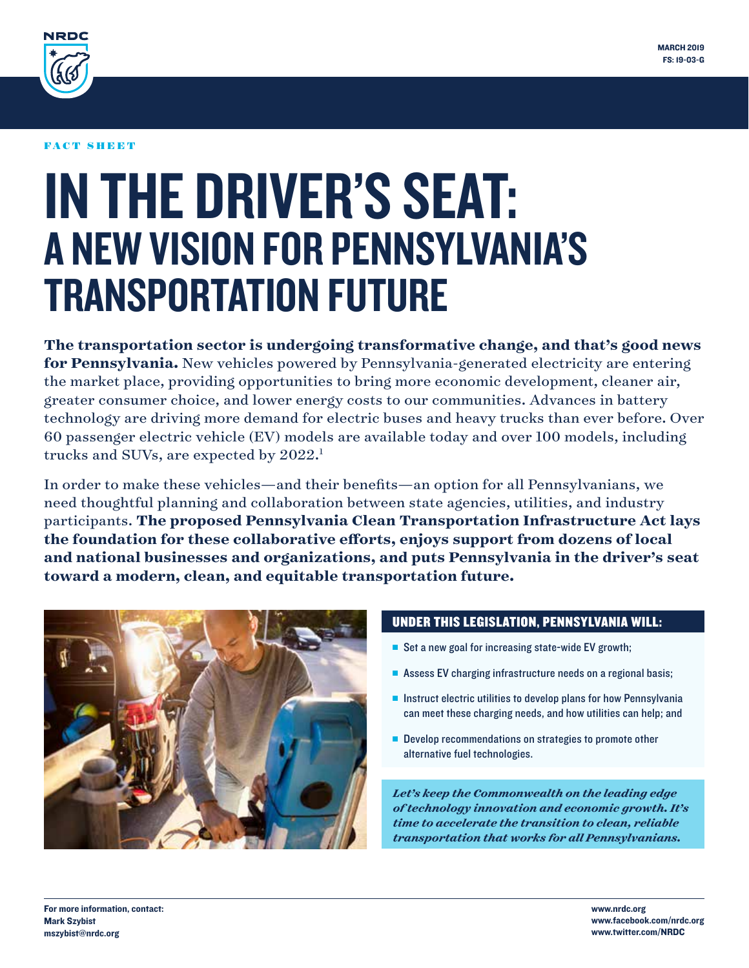

#### FACT SHEET

# IN THE DRIVER'S SEAT: A NEW VISION FOR PENNSYLVANIA'S TRANSPORTATION FUTURE

**The transportation sector is undergoing transformative change, and that's good news for Pennsylvania.** New vehicles powered by Pennsylvania-generated electricity are entering the market place, providing opportunities to bring more economic development, cleaner air, greater consumer choice, and lower energy costs to our communities. Advances in battery technology are driving more demand for electric buses and heavy trucks than ever before. Over 60 passenger electric vehicle (EV) models are available today and over 100 models, including trucks and SUVs, are expected by 2022.<sup>1</sup>

In order to make these vehicles—and their benefits—an option for all Pennsylvanians, we need thoughtful planning and collaboration between state agencies, utilities, and industry participants. **The proposed Pennsylvania Clean Transportation Infrastructure Act lays the foundation for these collaborative efforts, enjoys support from dozens of local and national businesses and organizations, and puts Pennsylvania in the driver's seat toward a modern, clean, and equitable transportation future.**



#### UNDER THIS LEGISLATION, PENNSYLVANIA WILL:

- $\blacksquare$  Set a new goal for increasing state-wide EV growth;
- Assess EV charging infrastructure needs on a regional basis;
- $\blacksquare$  Instruct electric utilities to develop plans for how Pennsylvania can meet these charging needs, and how utilities can help; and
- **n** Develop recommendations on strategies to promote other alternative fuel technologies.

*Let's keep the Commonwealth on the leading edge of technology innovation and economic growth. It's time to accelerate the transition to clean, reliable transportation that works for all Pennsylvanians.*